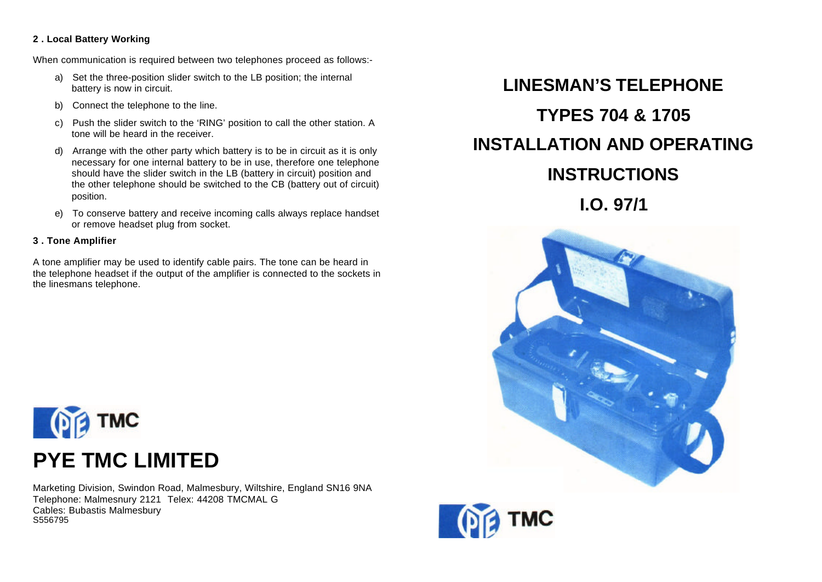### **2 . Local Battery Working**

When communication is required between two telephones proceed as follows:-

- a) Set the three-position slider switch to the LB position; the internal battery is now in circuit.
- b) Connect the telephone to the line.
- c) Push the slider switch to the 'RING' position to call the other station. A tone will be heard in the receiver.
- d) Arrange with the other party which battery is to be in circuit as it is only necessary for one internal battery to be in use, therefore one telephone should have the slider switch in the LB (battery in circuit) position and the other telephone should be switched to the CB (battery out of circuit) position.
- e) To conserve battery and receive incoming calls always replace handset or remove headset plug from socket.

### **3 . Tone Amplifier**

A tone amplifier may be used to identify cable pairs. The tone can be heard in the telephone headset if the output of the amplifier is connected to the sockets in the linesmans telephone.





Marketing Division, Swindon Road, Malmesbury, Wiltshire, England SN16 9NA Telephone: Malmesnury 2121 Telex: 44208 TMCMAL G Cables: Bubastis Malmesbury S556795